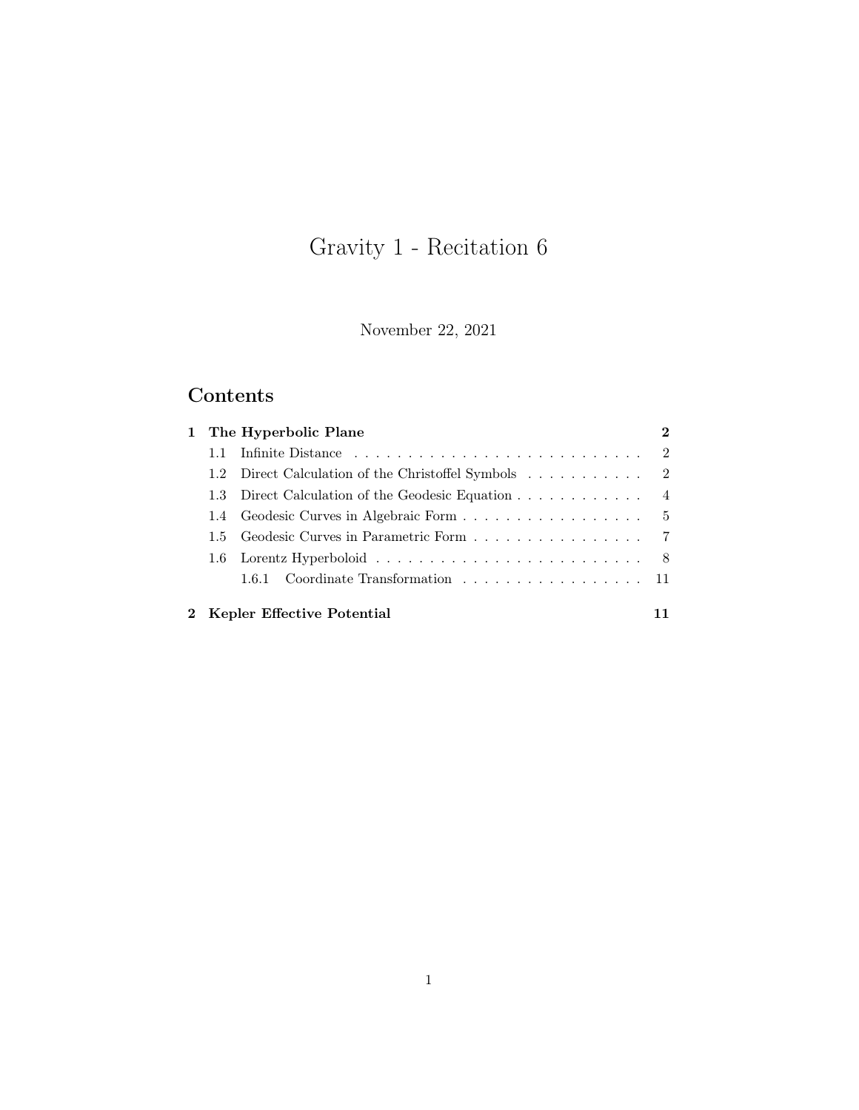# Gravity 1 - Recitation 6

November 22, 2021

## Contents

|     | 1 The Hyperbolic Plane                                                                     | $\bf{2}$ |
|-----|--------------------------------------------------------------------------------------------|----------|
| 1.1 |                                                                                            |          |
| 1.2 | Direct Calculation of the Christoffel Symbols 2                                            |          |
|     | 1.3 Direct Calculation of the Geodesic Equation 4                                          |          |
|     |                                                                                            |          |
|     | 1.5 Geodesic Curves in Parametric Form 7                                                   |          |
|     | 1.6 Lorentz Hyperboloid $\ldots \ldots \ldots \ldots \ldots \ldots \ldots \ldots \ldots 8$ |          |
|     | 1.6.1 Coordinate Transformation 11                                                         |          |
|     | 2 Kepler Effective Potential                                                               |          |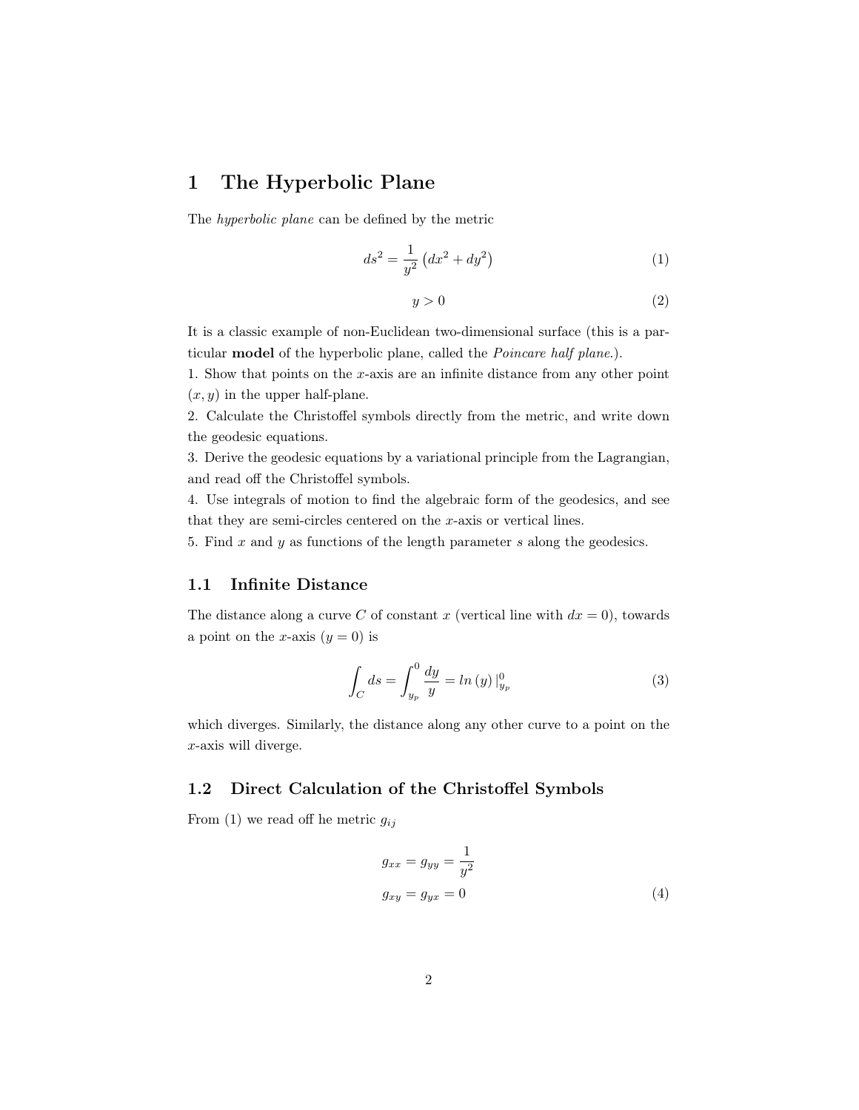### <span id="page-1-0"></span>1 The Hyperbolic Plane

The hyperbolic plane can be defined by the metric

<span id="page-1-3"></span>
$$
ds^2 = \frac{1}{y^2} \left( dx^2 + dy^2 \right) \tag{1}
$$

$$
y > 0 \tag{2}
$$

It is a classic example of non-Euclidean two-dimensional surface (this is a particular model of the hyperbolic plane, called the Poincare half plane.).

1. Show that points on the x-axis are an infinite distance from any other point  $(x, y)$  in the upper half-plane.

2. Calculate the Christoffel symbols directly from the metric, and write down the geodesic equations.

3. Derive the geodesic equations by a variational principle from the Lagrangian, and read off the Christoffel symbols.

4. Use integrals of motion to find the algebraic form of the geodesics, and see that they are semi-circles centered on the x-axis or vertical lines.

5. Find  $x$  and  $y$  as functions of the length parameter  $s$  along the geodesics.

#### <span id="page-1-1"></span>1.1 Infinite Distance

The distance along a curve C of constant x (vertical line with  $dx = 0$ ), towards a point on the x-axis  $(y = 0)$  is

$$
\int_{C} ds = \int_{y_{p}}^{0} \frac{dy}{y} = \ln(y) \Big|_{y_{p}}^{0}
$$
\n(3)

which diverges. Similarly, the distance along any other curve to a point on the x-axis will diverge.

#### <span id="page-1-2"></span>1.2 Direct Calculation of the Christoffel Symbols

From [\(1\)](#page-1-3) we read off he metric  $g_{ij}$ 

<span id="page-1-4"></span>
$$
g_{xx} = g_{yy} = \frac{1}{y^2}
$$
  

$$
g_{xy} = g_{yx} = 0
$$
 (4)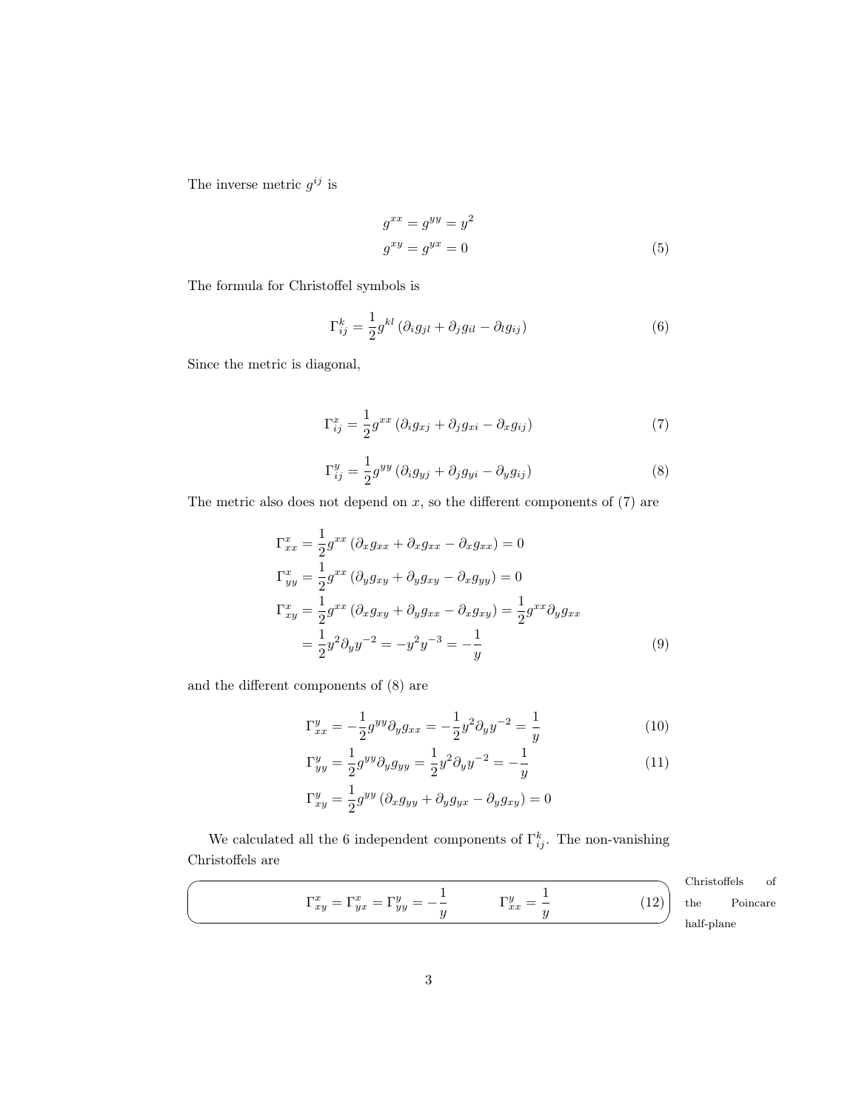The inverse metric  $g^{ij}$  is

$$
g^{xx} = g^{yy} = y^2
$$
  
\n
$$
g^{xy} = g^{yx} = 0
$$
\n(5)

The formula for Christoffel symbols is

$$
\Gamma_{ij}^k = \frac{1}{2} g^{kl} \left( \partial_i g_{jl} + \partial_j g_{il} - \partial_l g_{ij} \right) \tag{6}
$$

Since the metric is diagonal,

<span id="page-2-0"></span>
$$
\Gamma_{ij}^{x} = \frac{1}{2} g^{xx} \left( \partial_i g_{xj} + \partial_j g_{xi} - \partial_x g_{ij} \right) \tag{7}
$$

<span id="page-2-1"></span>
$$
\Gamma_{ij}^y = \frac{1}{2} g^{yy} \left( \partial_i g_{yj} + \partial_j g_{yi} - \partial_y g_{ij} \right) \tag{8}
$$

The metric also does not depend on  $x$ , so the different components of  $(7)$  are

$$
\Gamma_{xx}^x = \frac{1}{2} g^{xx} \left( \partial_x g_{xx} + \partial_x g_{xx} - \partial_x g_{xx} \right) = 0
$$
  
\n
$$
\Gamma_{yy}^x = \frac{1}{2} g^{xx} \left( \partial_y g_{xy} + \partial_y g_{xy} - \partial_x g_{yy} \right) = 0
$$
  
\n
$$
\Gamma_{xy}^x = \frac{1}{2} g^{xx} \left( \partial_x g_{xy} + \partial_y g_{xx} - \partial_x g_{xy} \right) = \frac{1}{2} g^{xx} \partial_y g_{xx}
$$
  
\n
$$
= \frac{1}{2} y^2 \partial_y y^{-2} = -y^2 y^{-3} = -\frac{1}{y}
$$
\n(9)

and the different components of [\(8\)](#page-2-1) are

$$
\Gamma_{xx}^y = -\frac{1}{2}g^{yy}\partial_y g_{xx} = -\frac{1}{2}y^2\partial_y y^{-2} = \frac{1}{y}
$$
 (10)

$$
\Gamma_{yy}^y = \frac{1}{2} g^{yy} \partial_y g_{yy} = \frac{1}{2} y^2 \partial_y y^{-2} = -\frac{1}{y}
$$
\n
$$
\Gamma_{xy}^y = \frac{1}{2} g^{yy} \left( \partial_x g_{yy} + \partial_y g_{yx} - \partial_y g_{xy} \right) = 0
$$
\n(11)

We calculated all the 6 independent components of  $\Gamma_{ij}^k$ . The non-vanishing Christoffels are

<span id="page-2-2"></span>
$$
\Gamma_{xy}^x = \Gamma_{yx}^x = \Gamma_{yy}^y = -\frac{1}{y} \qquad \qquad \Gamma_{xx}^y = \frac{1}{y}
$$
 (12)

☞ Christoffels of the Poincare alf-plane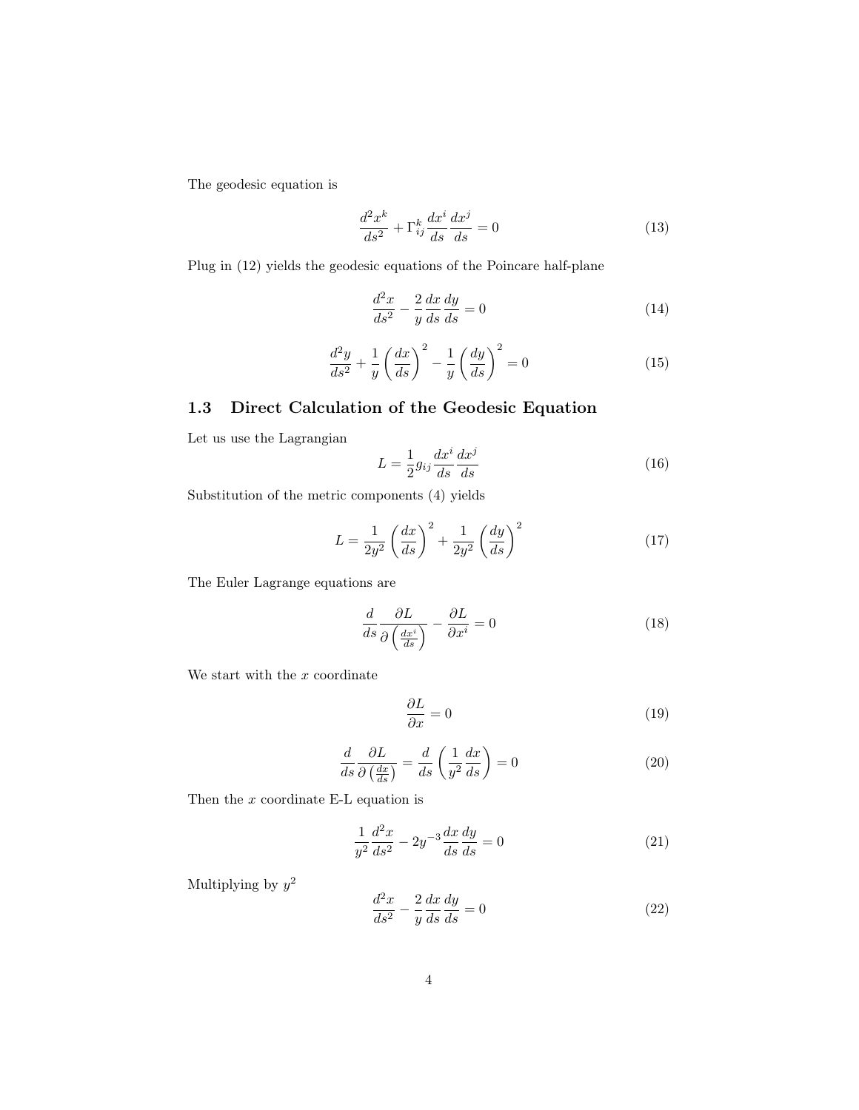The geodesic equation is

$$
\frac{d^2x^k}{ds^2} + \Gamma^k_{ij}\frac{dx^i}{ds}\frac{dx^j}{ds} = 0\tag{13}
$$

Plug in [\(12\)](#page-2-2) yields the geodesic equations of the Poincare half-plane

<span id="page-3-2"></span>
$$
\frac{d^2x}{ds^2} - \frac{2}{y}\frac{dx}{ds}\frac{dy}{ds} = 0\tag{14}
$$

<span id="page-3-3"></span>
$$
\frac{d^2y}{ds^2} + \frac{1}{y} \left(\frac{dx}{ds}\right)^2 - \frac{1}{y} \left(\frac{dy}{ds}\right)^2 = 0\tag{15}
$$

#### <span id="page-3-0"></span>1.3 Direct Calculation of the Geodesic Equation

Let us use the Lagrangian

$$
L = \frac{1}{2} g_{ij} \frac{dx^i}{ds} \frac{dx^j}{ds} \tag{16}
$$

Substitution of the metric components [\(4\)](#page-1-4) yields

$$
L = \frac{1}{2y^2} \left(\frac{dx}{ds}\right)^2 + \frac{1}{2y^2} \left(\frac{dy}{ds}\right)^2 \tag{17}
$$

The Euler Lagrange equations are

$$
\frac{d}{ds}\frac{\partial L}{\partial\left(\frac{dx^i}{ds}\right)} - \frac{\partial L}{\partial x^i} = 0\tag{18}
$$

We start with the  $x$  coordinate

$$
\frac{\partial L}{\partial x} = 0\tag{19}
$$

<span id="page-3-4"></span>
$$
\frac{d}{ds}\frac{\partial L}{\partial\left(\frac{dx}{ds}\right)} = \frac{d}{ds}\left(\frac{1}{y^2}\frac{dx}{ds}\right) = 0\tag{20}
$$

Then the  $x$  coordinate E-L equation is

$$
\frac{1}{y^2} \frac{d^2x}{ds^2} - 2y^{-3} \frac{dx}{ds} \frac{dy}{ds} = 0
$$
\n(21)

Multiplying by  $y^2$ 

<span id="page-3-1"></span>
$$
\frac{d^2x}{ds^2} - \frac{2}{y}\frac{dx}{ds}\frac{dy}{ds} = 0\tag{22}
$$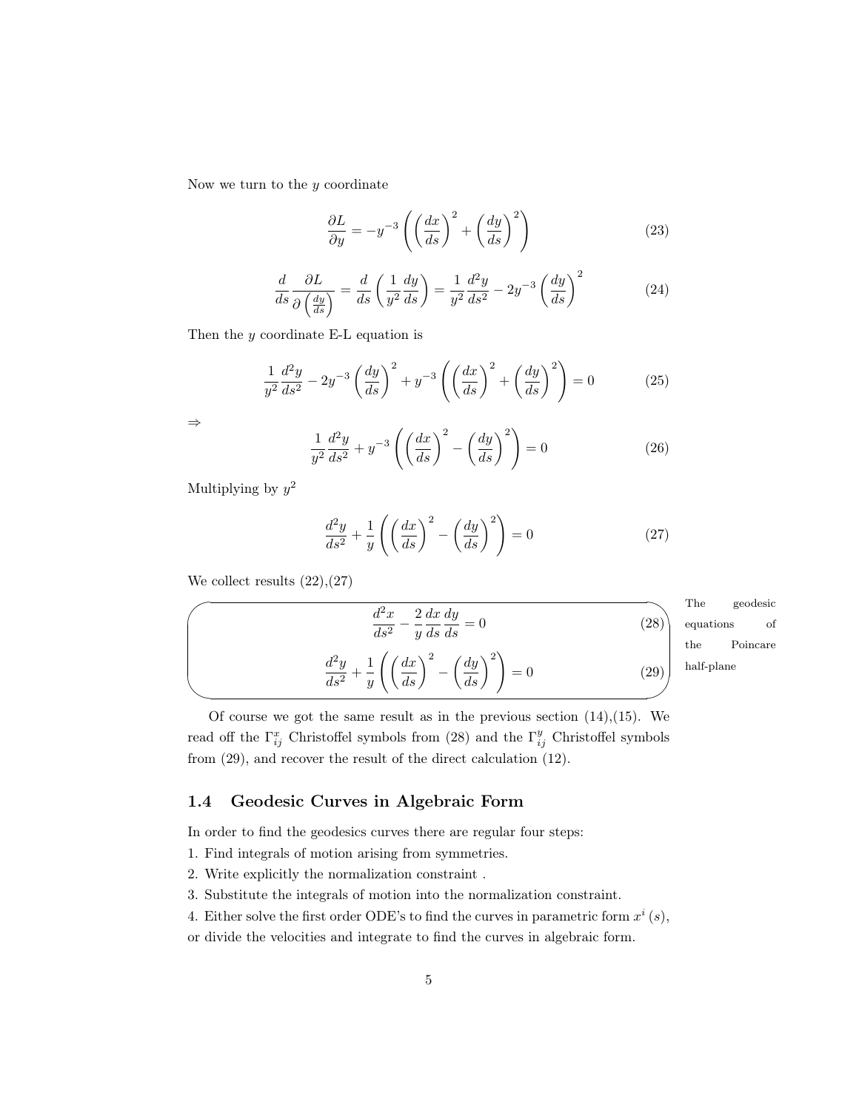Now we turn to the  $y$  coordinate

$$
\frac{\partial L}{\partial y} = -y^{-3} \left( \left( \frac{dx}{ds} \right)^2 + \left( \frac{dy}{ds} \right)^2 \right) \tag{23}
$$

$$
\frac{d}{ds}\frac{\partial L}{\partial\left(\frac{dy}{ds}\right)} = \frac{d}{ds}\left(\frac{1}{y^2}\frac{dy}{ds}\right) = \frac{1}{y^2}\frac{d^2y}{ds^2} - 2y^{-3}\left(\frac{dy}{ds}\right)^2\tag{24}
$$

Then the  $y$  coordinate E-L equation is

$$
\frac{1}{y^2}\frac{d^2y}{ds^2} - 2y^{-3}\left(\frac{dy}{ds}\right)^2 + y^{-3}\left(\left(\frac{dx}{ds}\right)^2 + \left(\frac{dy}{ds}\right)^2\right) = 0\tag{25}
$$

⇒

$$
\frac{1}{y^2}\frac{d^2y}{ds^2} + y^{-3}\left(\left(\frac{dx}{ds}\right)^2 - \left(\frac{dy}{ds}\right)^2\right) = 0\tag{26}
$$

Multiplying by  $y^2$ 

<span id="page-4-3"></span><span id="page-4-2"></span><span id="page-4-1"></span>
$$
\frac{d^2y}{ds^2} + \frac{1}{y} \left( \left( \frac{dx}{ds} \right)^2 - \left( \frac{dy}{ds} \right)^2 \right) = 0 \tag{27}
$$

We collect results  $(22),(27)$  $(22),(27)$  $(22),(27)$ 

$$
\frac{d^2x}{ds^2} - \frac{2}{y}\frac{dx}{ds}\frac{dy}{ds} = 0
$$
\n(28)\n
$$
\frac{d^2y}{ds^2} + \frac{1}{y}\left(\left(\frac{dx}{ds}\right)^2 - \left(\frac{dy}{ds}\right)^2\right) = 0
$$
\n(29)

**The** geodesic equations of the Poincare half-plane

Of course we got the same result as in the previous section  $(14),(15)$  $(14),(15)$  $(14),(15)$ . We read off the  $\Gamma_{ij}^x$  Christoffel symbols from [\(28\)](#page-4-2) and the  $\Gamma_{ij}^y$  Christoffel symbols from [\(29\)](#page-4-3), and recover the result of the direct calculation [\(12\)](#page-2-2).

#### <span id="page-4-0"></span>1.4 Geodesic Curves in Algebraic Form

In order to find the geodesics curves there are regular four steps:

- 1. Find integrals of motion arising from symmetries.
- 2. Write explicitly the normalization constraint .
- 3. Substitute the integrals of motion into the normalization constraint.
- 4. Either solve the first order ODE's to find the curves in parametric form  $x^i(s)$ ,

or divide the velocities and integrate to find the curves in algebraic form.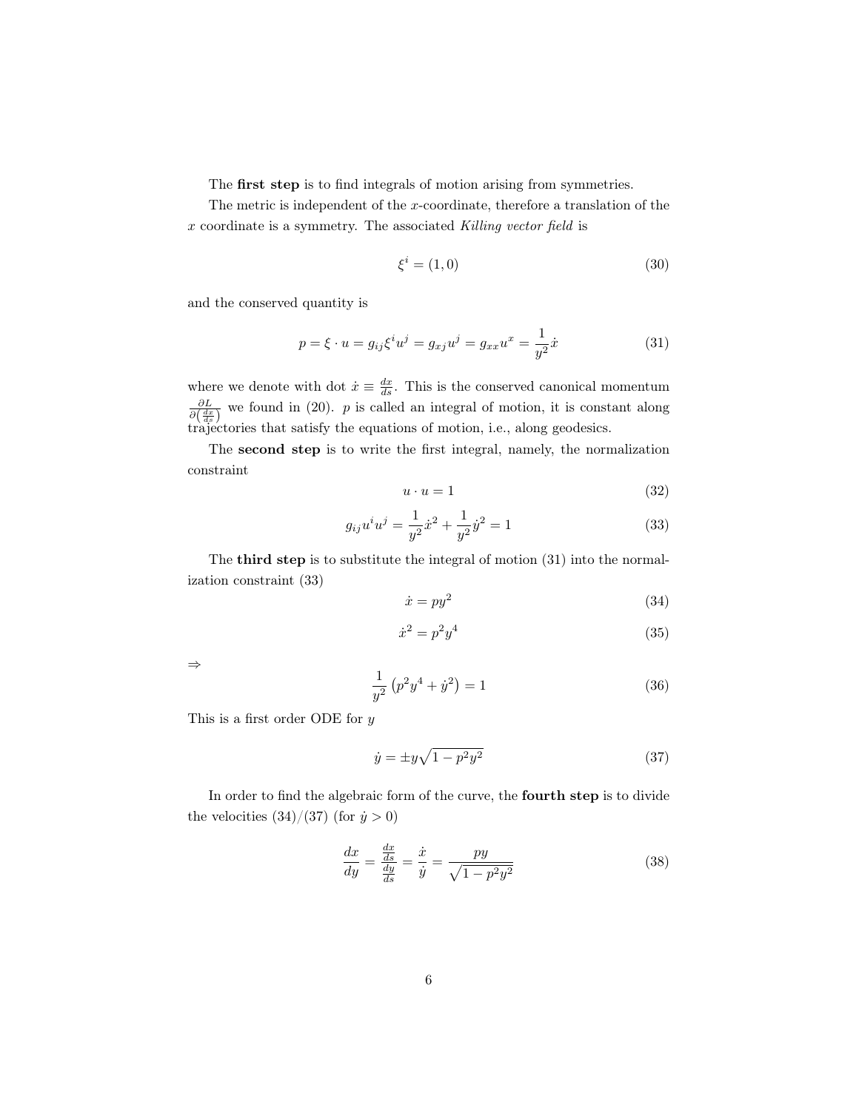The first step is to find integrals of motion arising from symmetries.

The metric is independent of the x-coordinate, therefore a translation of the x coordinate is a symmetry. The associated Killing vector field is

$$
\xi^i = (1,0) \tag{30}
$$

and the conserved quantity is

<span id="page-5-0"></span>
$$
p = \xi \cdot u = g_{ij}\xi^i u^j = g_{xj}u^j = g_{xx}u^x = \frac{1}{y^2}\dot{x}
$$
 (31)

where we denote with dot  $\dot{x} \equiv \frac{dx}{ds}$ . This is the conserved canonical momentum  $\frac{\partial L}{\partial \left(\frac{dx}{ds}\right)}$  we found in [\(20\)](#page-3-4). p is called an integral of motion, it is constant along trajectories that satisfy the equations of motion, i.e., along geodesics.

The second step is to write the first integral, namely, the normalization constraint

$$
u \cdot u = 1 \tag{32}
$$

<span id="page-5-1"></span>
$$
g_{ij}u^i u^j = \frac{1}{y^2}\dot{x}^2 + \frac{1}{y^2}\dot{y}^2 = 1
$$
\n(33)

The third step is to substitute the integral of motion [\(31\)](#page-5-0) into the normalization constraint [\(33\)](#page-5-1)

<span id="page-5-2"></span>
$$
\dot{x} = py^2 \tag{34}
$$

$$
\dot{x}^2 = p^2 y^4 \tag{35}
$$

⇒

$$
\frac{1}{y^2} (p^2 y^4 + \dot{y}^2) = 1 \tag{36}
$$

This is a first order ODE for  $y$ 

<span id="page-5-3"></span>
$$
\dot{y} = \pm y\sqrt{1 - p^2 y^2} \tag{37}
$$

In order to find the algebraic form of the curve, the **fourth step** is to divide the velocities  $(34)/(37)$  $(34)/(37)$  $(34)/(37)$  (for  $\dot{y} > 0$ )

<span id="page-5-4"></span>
$$
\frac{dx}{dy} = \frac{\frac{dx}{ds}}{\frac{dy}{ds}} = \frac{\dot{x}}{\dot{y}} = \frac{py}{\sqrt{1 - p^2 y^2}}
$$
(38)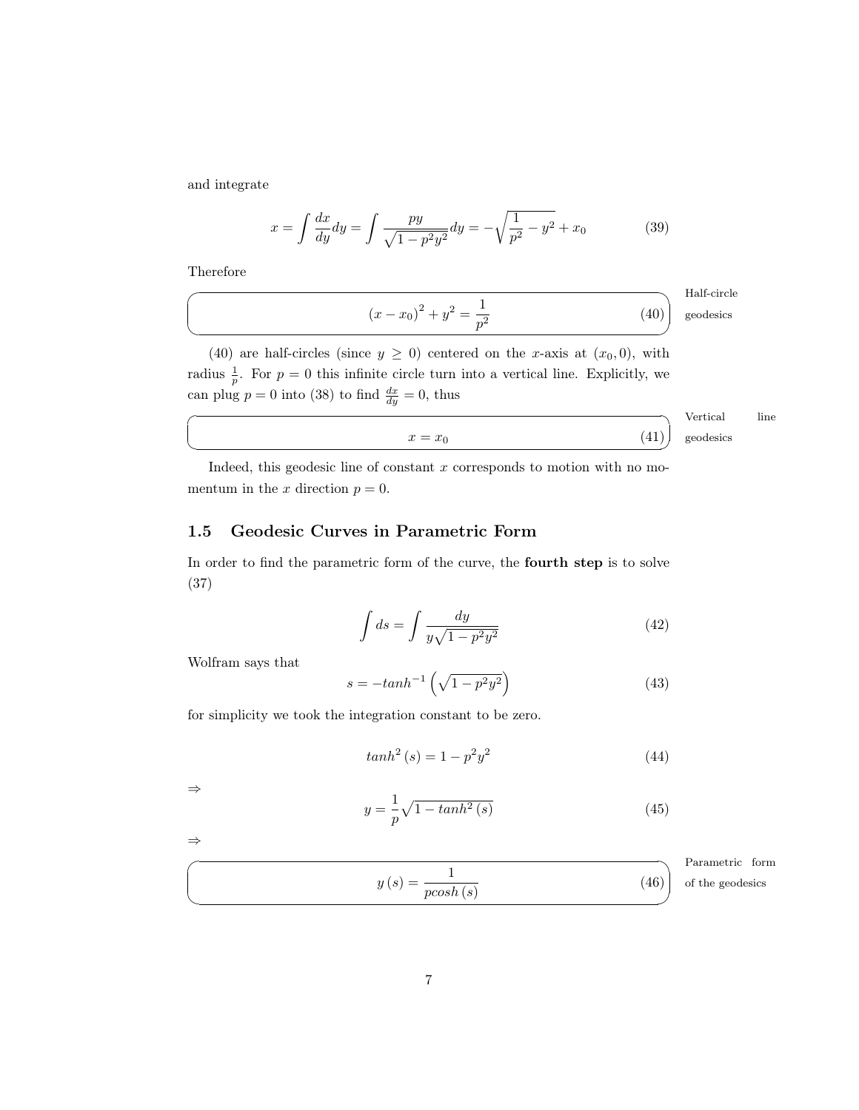and integrate

$$
x = \int \frac{dx}{dy} dy = \int \frac{py}{\sqrt{1 - p^2 y^2}} dy = -\sqrt{\frac{1}{p^2} - y^2} + x_0 \tag{39}
$$

Therefore

 $\overline{a}$ 

✍

☛

 $\searrow$ 

<span id="page-6-1"></span>
$$
(x - x_0)^2 + y^2 = \frac{1}{p^2}
$$
 (40)

 $x = x_0$  (41)

Half-circle geodesics

[\(40\)](#page-6-1) are half-circles (since  $y \ge 0$ ) centered on the x-axis at  $(x_0, 0)$ , with radius  $\frac{1}{p}$ . For  $p = 0$  this infinite circle turn into a vertical line. Explicitly, we can plug  $p = 0$  into [\(38\)](#page-5-4) to find  $\frac{dx}{dy} = 0$ , thus

> Vertical line geodesics

Indeed, this geodesic line of constant  $x$  corresponds to motion with no momentum in the x direction  $p = 0$ .

#### <span id="page-6-0"></span>1.5 Geodesic Curves in Parametric Form

In order to find the parametric form of the curve, the fourth step is to solve [\(37\)](#page-5-3)

$$
\int ds = \int \frac{dy}{y\sqrt{1 - p^2 y^2}}\tag{42}
$$

Wolfram says that

$$
s = -\tanh^{-1}\left(\sqrt{1 - p^2 y^2}\right) \tag{43}
$$

for simplicity we took the integration constant to be zero.

$$
tanh2(s) = 1 - p2y2
$$
\n(44)

⇒

⇒  $\overline{\phantom{0}}$ 

✍

$$
y = \frac{1}{p}\sqrt{1 - \tanh^2\left(s\right)}\tag{45}
$$

Parametric form of the geodesics

(46)

 $y(s) = \frac{1}{\text{pcosh}(s)}$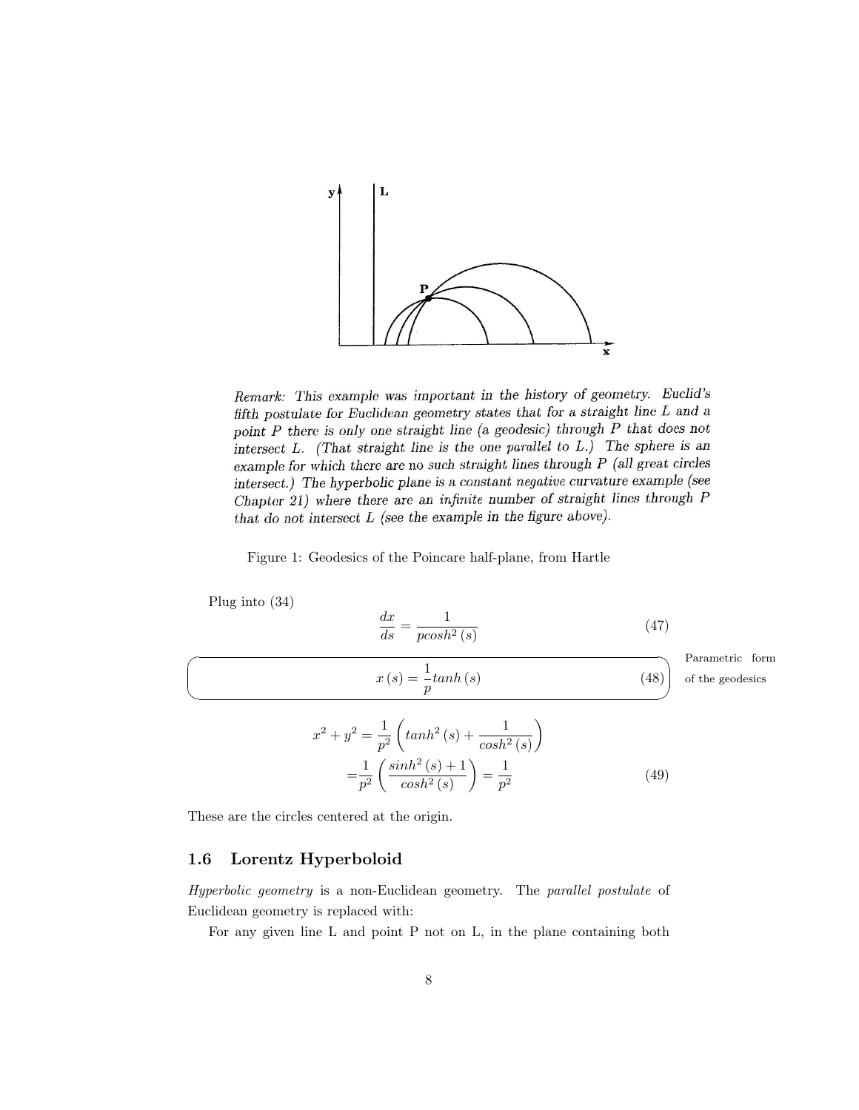

Remark: This example was important in the history of geometry. Euclid's fifth postulate for Euclidean geometry states that for a straight line L and a point  $P$  there is only one straight line (a geodesic) through  $P$  that does not intersect  $L$ . (That straight line is the one parallel to  $L$ .) The sphere is an example for which there are no such straight lines through  $P$  (all great circles intersect.) The hyperbolic plane is a constant negative curvature example (see Chapter 21) where there are an infinite number of straight lines through P that do not intersect  $L$  (see the example in the figure above).

#### Figure 1: Geodesics of the Poincare half-plane, from Hartle

Plug into [\(34\)](#page-5-2)

 $\sqrt{2}$ 

✍

$$
\frac{dx}{ds} = \frac{1}{p\cosh^2\left(s\right)}\tag{47}
$$

 $x(s) = \frac{1}{p} \tanh(s)$  (48)

Parametric form of the geodesics

$$
x^{2} + y^{2} = \frac{1}{p^{2}} \left( \tanh^{2}(s) + \frac{1}{\cosh^{2}(s)} \right)
$$

$$
= \frac{1}{p^{2}} \left( \frac{\sinh^{2}(s) + 1}{\cosh^{2}(s)} \right) = \frac{1}{p^{2}}
$$
(49)

These are the circles centered at the origin.

x

#### <span id="page-7-0"></span>1.6 Lorentz Hyperboloid

Hyperbolic geometry is a non-Euclidean geometry. The parallel postulate of Euclidean geometry is replaced with:

For any given line L and point P not on L, in the plane containing both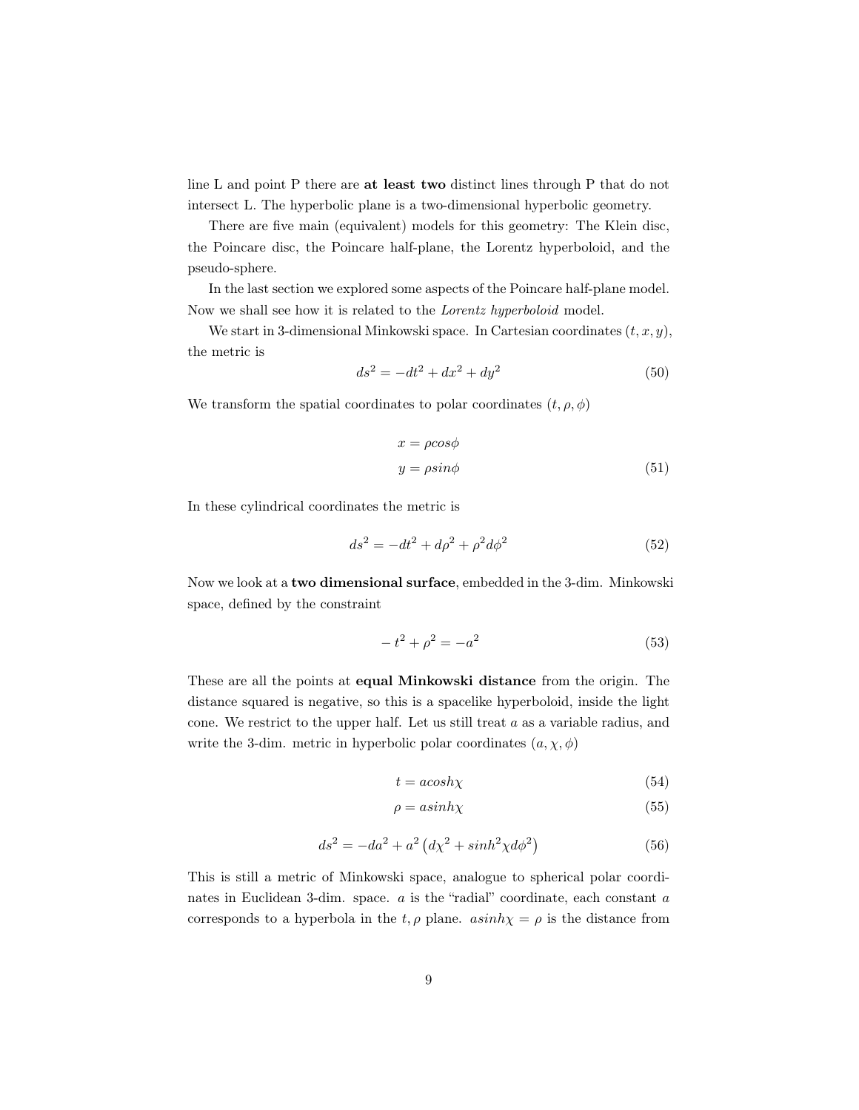line L and point P there are at least two distinct lines through P that do not intersect L. The hyperbolic plane is a two-dimensional hyperbolic geometry.

There are five main (equivalent) models for this geometry: The Klein disc, the Poincare disc, the Poincare half-plane, the Lorentz hyperboloid, and the pseudo-sphere.

In the last section we explored some aspects of the Poincare half-plane model. Now we shall see how it is related to the Lorentz hyperboloid model.

We start in 3-dimensional Minkowski space. In Cartesian coordinates  $(t, x, y)$ , the metric is

$$
ds^2 = -dt^2 + dx^2 + dy^2 \tag{50}
$$

We transform the spatial coordinates to polar coordinates  $(t, \rho, \phi)$ 

$$
x = \rho \cos \phi
$$
  
 
$$
y = \rho \sin \phi
$$
 (51)

In these cylindrical coordinates the metric is

<span id="page-8-0"></span>
$$
ds^2 = -dt^2 + d\rho^2 + \rho^2 d\phi^2
$$
\n(52)

Now we look at a two dimensional surface, embedded in the 3-dim. Minkowski space, defined by the constraint

$$
-t^2 + \rho^2 = -a^2 \tag{53}
$$

These are all the points at equal Minkowski distance from the origin. The distance squared is negative, so this is a spacelike hyperboloid, inside the light cone. We restrict to the upper half. Let us still treat  $a$  as a variable radius, and write the 3-dim. metric in hyperbolic polar coordinates  $(a, \chi, \phi)$ 

$$
t = acosh\chi \tag{54}
$$

$$
\rho = a \sinh \chi \tag{55}
$$

$$
ds^2 = -da^2 + a^2 \left(d\chi^2 + \sinh^2\chi d\phi^2\right)
$$
\n<sup>(56)</sup>

This is still a metric of Minkowski space, analogue to spherical polar coordinates in Euclidean 3-dim. space. a is the "radial" coordinate, each constant a corresponds to a hyperbola in the t,  $\rho$  plane.  $asinh\chi = \rho$  is the distance from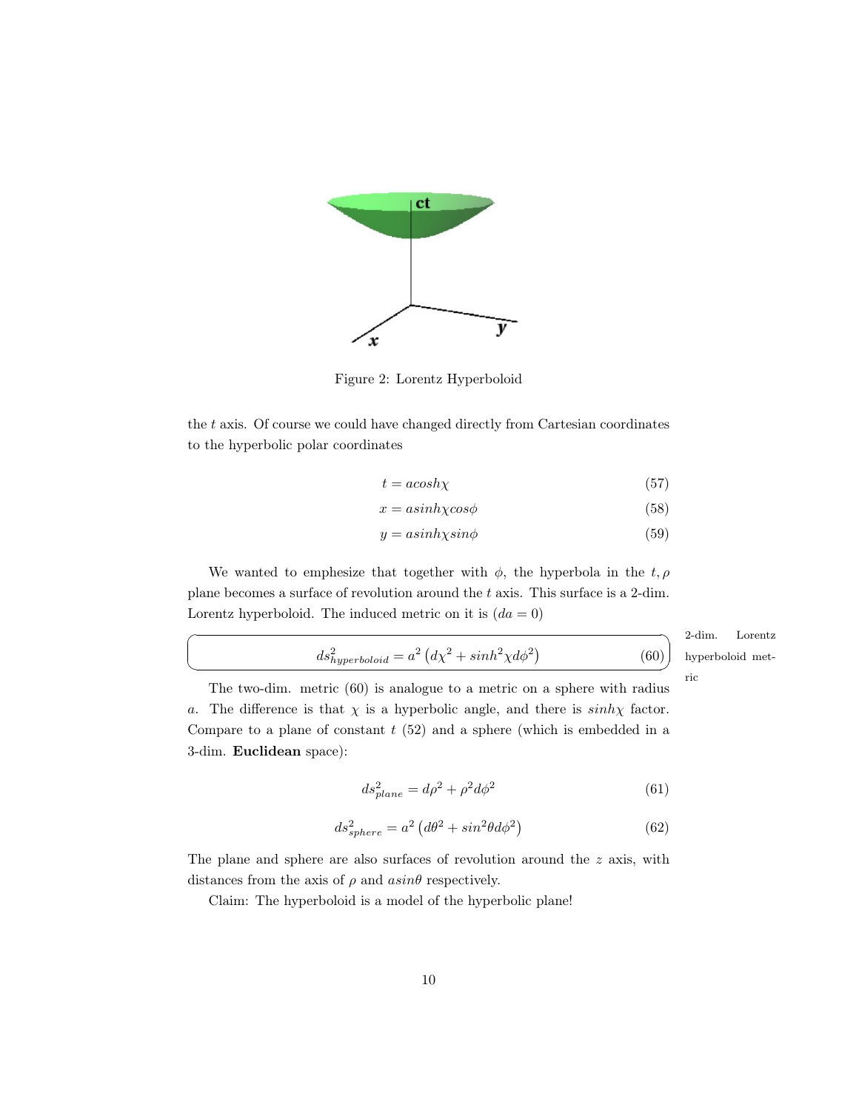

Figure 2: Lorentz Hyperboloid

the  $t$  axis. Of course we could have changed directly from Cartesian coordinates to the hyperbolic polar coordinates

$$
t = acosh\chi \tag{57}
$$

$$
x = a\sinh\chi\cos\phi\tag{58}
$$

$$
y = a\sinh\chi\sin\phi\tag{59}
$$

We wanted to emphesize that together with  $\phi$ , the hyperbola in the t,  $\rho$ plane becomes a surface of revolution around the t axis. This surface is a 2-dim. Lorentz hyperboloid. The induced metric on it is  $(da = 0)$ 

☛

 $\searrow$ 

<span id="page-9-0"></span>
$$
ds_{hyperboloid}^2 = a^2 \left( d\chi^2 + \sinh^2 \chi d\phi^2 \right)
$$

2-dim. ✠ ric Lorentz hyperboloid met-

(60)

The two-dim. metric [\(60\)](#page-9-0) is analogue to a metric on a sphere with radius a. The difference is that  $\chi$  is a hyperbolic angle, and there is  $sinh\chi$  factor. Compare to a plane of constant  $t$  [\(52\)](#page-8-0) and a sphere (which is embedded in a 3-dim. Euclidean space):

$$
ds_{plane}^2 = d\rho^2 + \rho^2 d\phi^2 \tag{61}
$$

$$
ds_{sphere}^{2} = a^{2} \left( d\theta^{2} + \sin^{2} \theta d\phi^{2} \right)
$$
 (62)

The plane and sphere are also surfaces of revolution around the z axis, with distances from the axis of  $\rho$  and  $asin\theta$  respectively.

Claim: The hyperboloid is a model of the hyperbolic plane!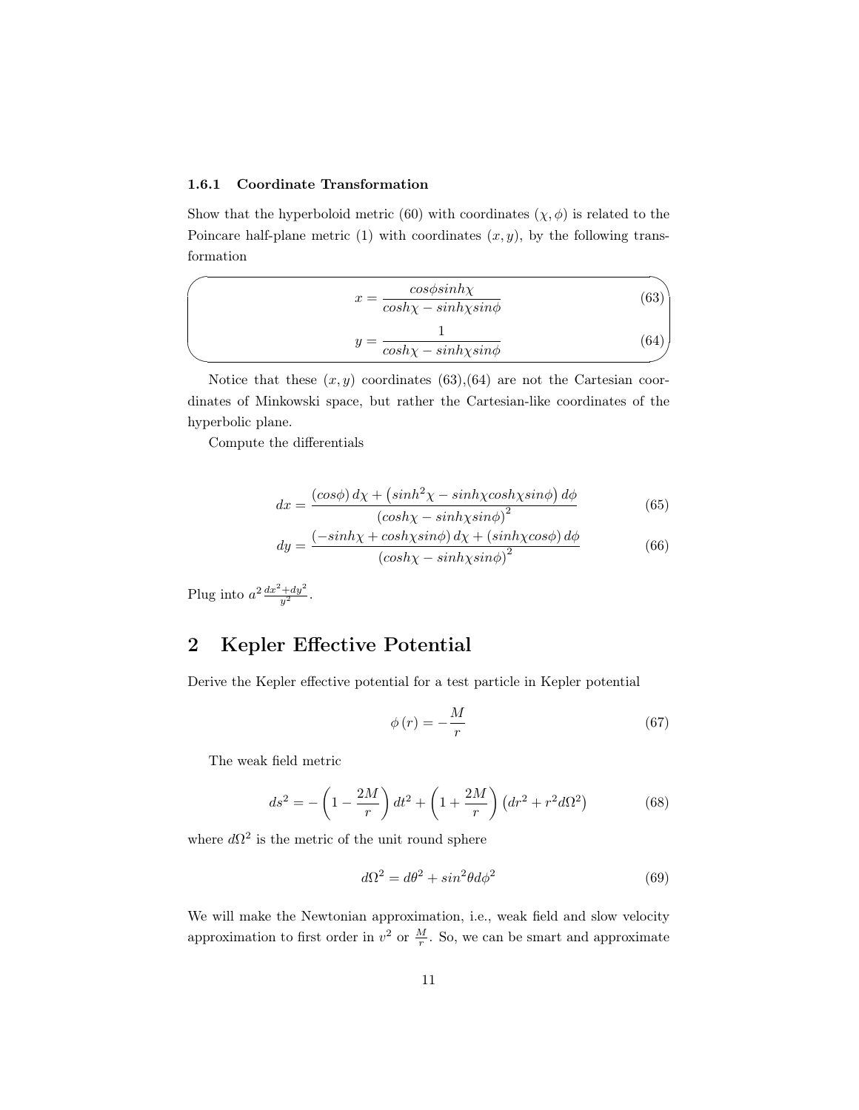#### <span id="page-10-0"></span>1.6.1 Coordinate Transformation

Show that the hyperboloid metric [\(60\)](#page-9-0) with coordinates  $(\chi, \phi)$  is related to the Poincare half-plane metric [\(1\)](#page-1-3) with coordinates  $(x, y)$ , by the following transformation

<span id="page-10-3"></span><span id="page-10-2"></span>
$$
x = \frac{\cos\phi \sinh\chi}{\cosh\chi - \sinh\chi \sin\phi}
$$
 (63)  

$$
y = \frac{1}{\cosh\chi - \sinh\chi \sin\phi}
$$
 (64)

Notice that these  $(x, y)$  coordinates [\(63\)](#page-10-2), [\(64\)](#page-10-3) are not the Cartesian coordinates of Minkowski space, but rather the Cartesian-like coordinates of the hyperbolic plane.

Compute the differentials

$$
dx = \frac{(\cos\phi) \, d\chi + (\sinh^2\chi - \sinh\chi \cosh\chi \sin\phi) \, d\phi}{(\cosh\chi - \sinh\chi \sin\phi)^2} \tag{65}
$$

$$
dy = \frac{(-\sinh\chi + \cosh\chi\sin\phi) \, d\chi + (\sinh\chi\cos\phi) \, d\phi}{(\cosh\chi - \sinh\chi\sin\phi)^2}
$$
(66)

Plug into  $a^2 \frac{dx^2 + dy^2}{y^2}$ .

### <span id="page-10-1"></span>2 Kepler Effective Potential

Derive the Kepler effective potential for a test particle in Kepler potential

$$
\phi\left(r\right) = -\frac{M}{r} \tag{67}
$$

The weak field metric

$$
ds^{2} = -\left(1 - \frac{2M}{r}\right)dt^{2} + \left(1 + \frac{2M}{r}\right)\left(dr^{2} + r^{2}d\Omega^{2}\right)
$$
(68)

where  $d\Omega^2$  is the metric of the unit round sphere

$$
d\Omega^2 = d\theta^2 + \sin^2\theta d\phi^2 \tag{69}
$$

We will make the Newtonian approximation, i.e., weak field and slow velocity approximation to first order in  $v^2$  or  $\frac{M}{r}$ . So, we can be smart and approximate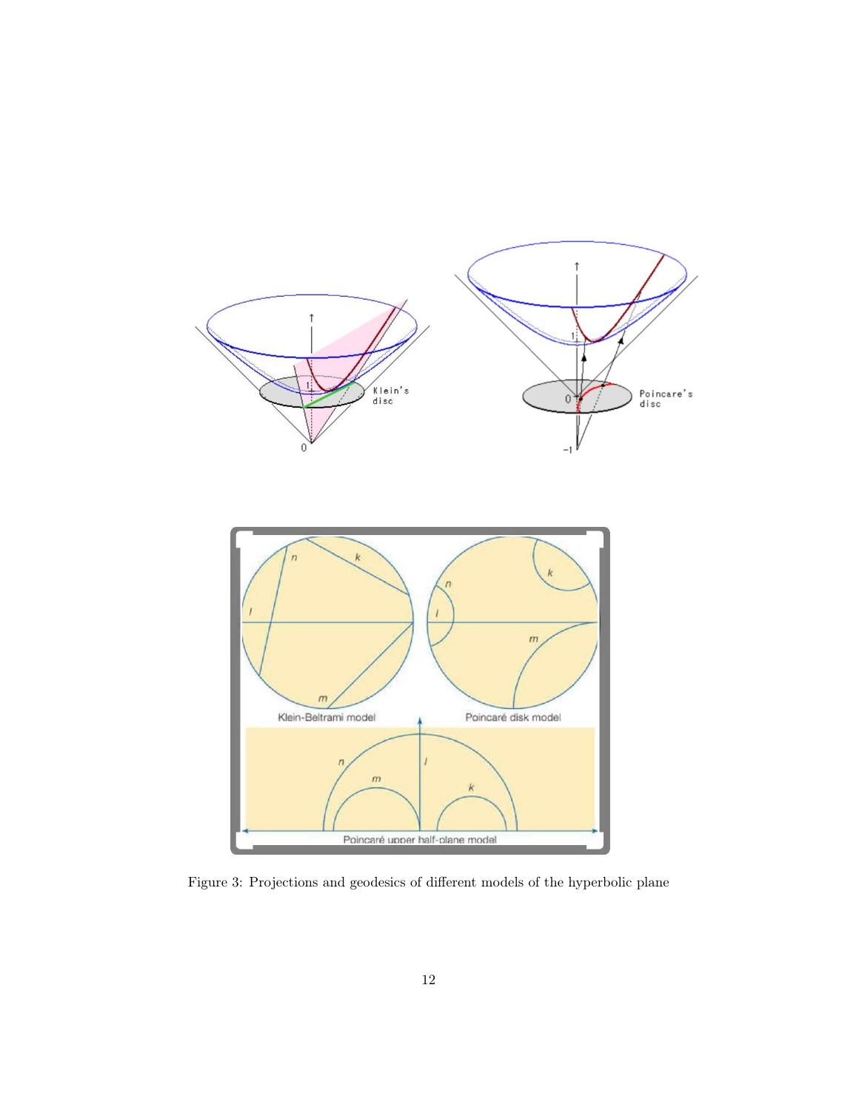

Figure 3: Projections and geodesics of different models of the hyperbolic plane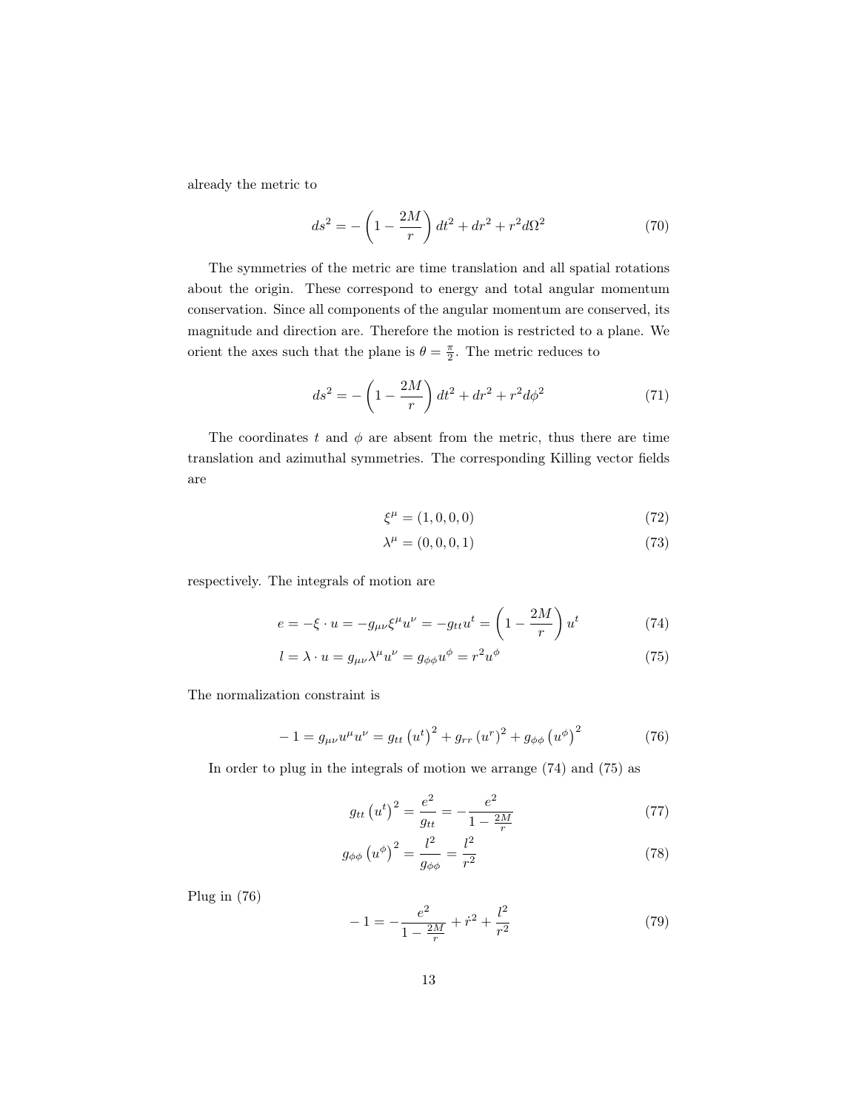already the metric to

$$
ds^{2} = -\left(1 - \frac{2M}{r}\right)dt^{2} + dr^{2} + r^{2}d\Omega^{2}
$$
 (70)

The symmetries of the metric are time translation and all spatial rotations about the origin. These correspond to energy and total angular momentum conservation. Since all components of the angular momentum are conserved, its magnitude and direction are. Therefore the motion is restricted to a plane. We orient the axes such that the plane is  $\theta = \frac{\pi}{2}$ . The metric reduces to

$$
ds^{2} = -\left(1 - \frac{2M}{r}\right)dt^{2} + dr^{2} + r^{2}d\phi^{2}
$$
 (71)

The coordinates t and  $\phi$  are absent from the metric, thus there are time translation and azimuthal symmetries. The corresponding Killing vector fields are

$$
\xi^{\mu} = (1, 0, 0, 0) \tag{72}
$$

<span id="page-12-1"></span><span id="page-12-0"></span>
$$
\lambda^{\mu} = (0, 0, 0, 1) \tag{73}
$$

respectively. The integrals of motion are

$$
e = -\xi \cdot u = -g_{\mu\nu}\xi^{\mu}u^{\nu} = -g_{tt}u^{t} = \left(1 - \frac{2M}{r}\right)u^{t}
$$
 (74)

$$
l = \lambda \cdot u = g_{\mu\nu} \lambda^{\mu} u^{\nu} = g_{\phi\phi} u^{\phi} = r^2 u^{\phi}
$$
 (75)

The normalization constraint is

<span id="page-12-2"></span>
$$
-1 = g_{\mu\nu}u^{\mu}u^{\nu} = g_{tt}(u^{t})^{2} + g_{rr}(u^{r})^{2} + g_{\phi\phi}(u^{\phi})^{2}
$$
 (76)

In order to plug in the integrals of motion we arrange [\(74\)](#page-12-0) and [\(75\)](#page-12-1) as

$$
g_{tt} (u^t)^2 = \frac{e^2}{g_{tt}} = -\frac{e^2}{1 - \frac{2M}{r}}
$$
 (77)

$$
g_{\phi\phi} \left(u^{\phi}\right)^2 = \frac{l^2}{g_{\phi\phi}} = \frac{l^2}{r^2} \tag{78}
$$

Plug in [\(76\)](#page-12-2)

<span id="page-12-3"></span>
$$
-1 = -\frac{e^2}{1 - \frac{2M}{r}} + \dot{r}^2 + \frac{l^2}{r^2}
$$
 (79)